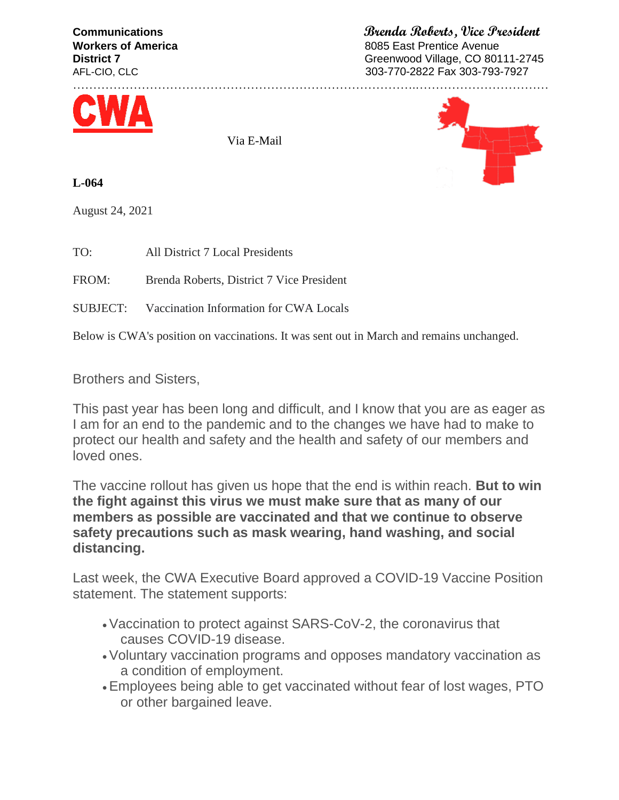**Communications Brenda Roberts, Vice President Workers of America** 8085 East Prentice Avenue **District 7** Greenwood Village, CO 80111-2745 AFL-CIO, CLC 303-770-2822 Fax 303-793-7927

………………………………………………………………………….……………………………



Via E-Mail

**L-064**

August 24, 2021

TO: All District 7 Local Presidents

FROM: Brenda Roberts, District 7 Vice President

SUBJECT: Vaccination Information for CWA Locals

Below is CWA's position on vaccinations. It was sent out in March and remains unchanged.

Brothers and Sisters,

This past year has been long and difficult, and I know that you are as eager as I am for an end to the pandemic and to the changes we have had to make to protect our health and safety and the health and safety of our members and loved ones.

The vaccine rollout has given us hope that the end is within reach. **But to win the fight against this virus we must make sure that as many of our members as possible are vaccinated and that we continue to observe safety precautions such as mask wearing, hand washing, and social distancing.**

Last week, the CWA Executive Board approved a COVID-19 Vaccine Position statement. The statement supports:

- Vaccination to protect against SARS-CoV-2, the coronavirus that causes COVID-19 disease.
- Voluntary vaccination programs and opposes mandatory vaccination as a condition of employment.
- Employees being able to get vaccinated without fear of lost wages, PTO or other bargained leave.